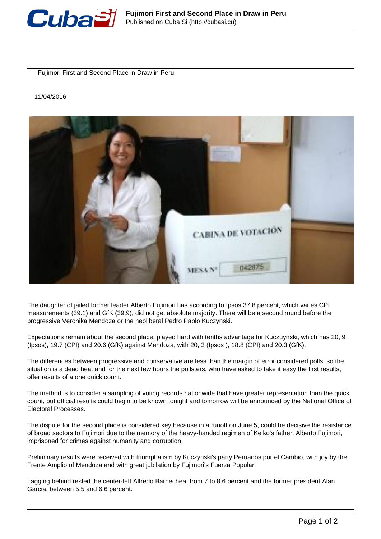

Fujimori First and Second Place in Draw in Peru

## 11/04/2016



The daughter of jailed former leader Alberto Fujimori has according to Ipsos 37.8 percent, which varies CPI measurements (39.1) and GfK (39.9), did not get absolute majority. There will be a second round before the progressive Veronika Mendoza or the neoliberal Pedro Pablo Kuczynski.

Expectations remain about the second place, played hard with tenths advantage for Kuczuynski, which has 20, 9 (Ipsos), 19.7 (CPI) and 20.6 (GfK) against Mendoza, with 20, 3 (Ipsos ), 18.8 (CPI) and 20.3 (GfK).

The differences between progressive and conservative are less than the margin of error considered polls, so the situation is a dead heat and for the next few hours the pollsters, who have asked to take it easy the first results, offer results of a one quick count.

The method is to consider a sampling of voting records nationwide that have greater representation than the quick count, but official results could begin to be known tonight and tomorrow will be announced by the National Office of Electoral Processes.

The dispute for the second place is considered key because in a runoff on June 5, could be decisive the resistance of broad sectors to Fujimori due to the memory of the heavy-handed regimen of Keiko's father, Alberto Fujimori, imprisoned for crimes against humanity and corruption.

Preliminary results were received with triumphalism by Kuczynski's party Peruanos por el Cambio, with joy by the Frente Amplio of Mendoza and with great jubilation by Fujimori's Fuerza Popular.

Lagging behind rested the center-left Alfredo Barnechea, from 7 to 8.6 percent and the former president Alan Garcia, between 5.5 and 6.6 percent.